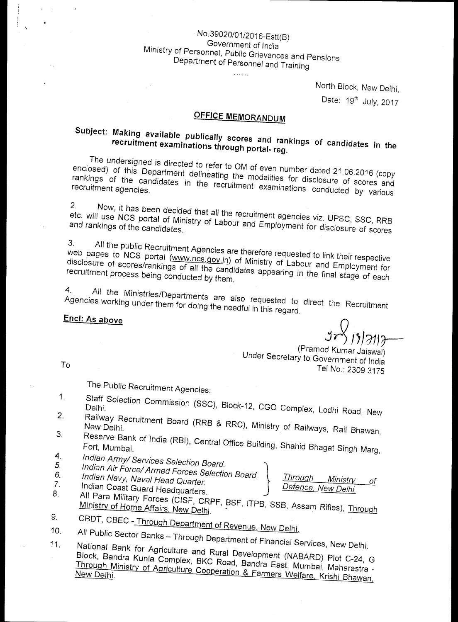## <sup>N</sup>o. 39020/<sup>0</sup> 1/2016-Estt(B) Government of India Ministry of Personnel, Public Grievances and Pensions Department of Personnel and Training

North Block, New Delhi, Date: 19<sup>th</sup> July, 2017

# **OFFICE MEMORANDUM**

#### **Subject: Making available publically scores and rankings of condidates in the recruitment examinations through portal- reg.**

The undersigned is directed to refer to OM of even number dated 21.06.2016 (copy enclosed) of this Department delineating the modalities for disclosure of scores and rankings of the candidates in the recruitment examinations conducted by various recruitment agencies.

2. Now, it has been decided that *all* the recruitment agencies viz. UPSC, SSC, RRB and rankings of the candidates. Expedience of the candidates. Expedience of the candidates. The candidates of the candidates. The candidates of scores

 $3_{-}$ web pages to NCS portal (www.ncs.gov.in) of Ministes are dested to link their respective ) of Ministry of Labour and Employment for recruitment process being conducted by them. Appearing in the final stage of each recruitment for

4. All the Ministries/Departments are also requested to direct the Recruitment Agencies working under them for doing the needful in this regard.

### **Encl: As above**

*<sup>1</sup> ,19113--*  (Pramod Kumar Jaiswal)

Under Secretary to Government of India Tel No.: 2309 3175

To

The Public Recruitment Agencies:

- 1. Staff Selection Commission (SSC), Block-12, CGO Complex, Lodhi Road, New 2•
- Ect....<br>Railway Recruitment Board (RRB & RRC), Ministry of Railways, Rail Bhawan, 3.
	- NER DUIT DESTING.<br>Reserve Bank of India (RBI), Central Office Building, Shahid Bhagat Singh Marg,
- *4. Indian Army/ Services Selection Board.*
- *5. Indian Air Force/ Armed Forces Selection Board.*<br>6. *Indian Navy, Naval Head Quarter.*<br>7. **Indian Coast Quart and** *Quarter*.
- 7. Indian Coast Guard Headquarters.<br>8. All Para Military F

| <u>I hrough</u> | Ministry            | n1 |
|-----------------|---------------------|----|
|                 | Defence, New Delhi, |    |

- All Para Military Forces (CISF CRPF, BSF, ITPB, SSB, Assam Rifles), Thr willistry of Home Affairs, New Delhi. <u>2000</u>, Nobel, Assam Rifles), Through '
- 9• CBDT, CBEC - Through Department of Revenue, New Delhi. 10.
- All Public Sector Banks Through Department of Financial Services, New Delhi. 11.
- National Bank for Agriculture and Rural Development (NABARD) Plot C-24, G Block, Bandra Kunla Complex, BKC Road, Bandra East, Mumbai, Maharastra - Through Ministry of Agriculture Cooperation & Farmers Welfare, Krishi Bhawan,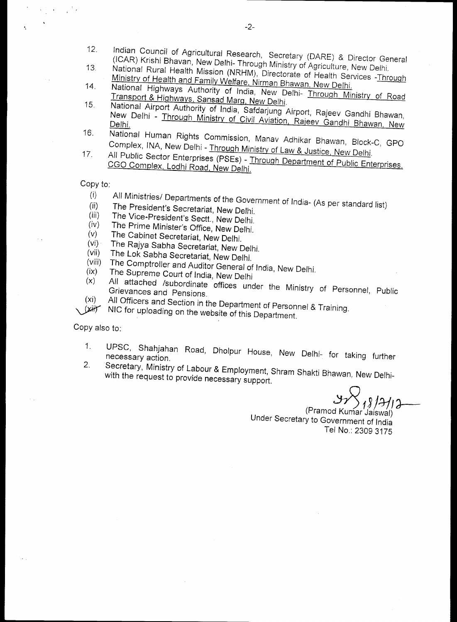- 12. Indian Council of Agricultural Research, Secretary (DARE) & Director General
- 13. National Rural Health Mission (NRHM), Directorate of Health Services -Through<br>
Ministry of Health and Family Welfare, Nirman Bhawan, New Delhi.<br>
14. National Highways Authority of India, New Delhi- Through Ministry of
- 
- National Airport Authority of India, Safdarjung Airport, Rajeev Gandhi Bhawan, New Delhi - Through Ministry of Civil Aviation, Rajeev Gandhi Bhawan, New
- 16. National Human Rights Commission, Manav Adhikar Bhawan, Block-C, GPO<br>Complex, INA, New Delhi Through Ministry of Law & Justice, New Delhi.
- All Public Sector Enterprises (PSEs) Through Department of Public Enterprises, CGO Complex, Lodhi Road, New Delhi.

Copy to:

- (i) All Ministries/ Departments of the Government of India- (As per standard list)
- (ii) The President's Secretariat, New Delhi.<br>(iii) The Vice-President's Sectt, New Pulli
- $\begin{array}{ll}\n\text{(iii)} & \text{The Vice-President's Sect.} \\
\text{(iv)} & \text{The Prime Minister's Offise, New Delhi.}\n\end{array}$
- $(iv)$  The Prime Minister's Office, New Delhi.<br>(v) The Cabinet Secretariat New Dalki
- (v) The Cabinet Secretariat, New Delhi.
- (vi) The Rajya Sabha Secretariat, New Delhi.
- (vii) The Lok Sabha Secretariat, New Delhi.
- (viii) The Comptroller and Auditor General of India, New Delhi.<br>(ix) The Supreme Court of India, New Delhi<br>(x) All attached (subordinate office)
- 
- All attached /subordinate offices under the Ministry of Personnel, Public Grievances and Pensions.
- (xi) All Officers and Section in the Department of Personnel & Training.
- NIC for uploading on the website of this Department.

Copy also to:

- 1. UPSC, Shahjahan Road, Dholpur House, New Delhi- for taking further necessary action.<br>2. Secretary Ministry of Labour 8.5
- Secretary, Ministry of Labour & Employment, Shram Shakti Bhawan, New Delhiwith the request to provide necessary support.

(Pramod Kumar Jaiswal) Under Secretary to Government of India Tel No.: 2309 3175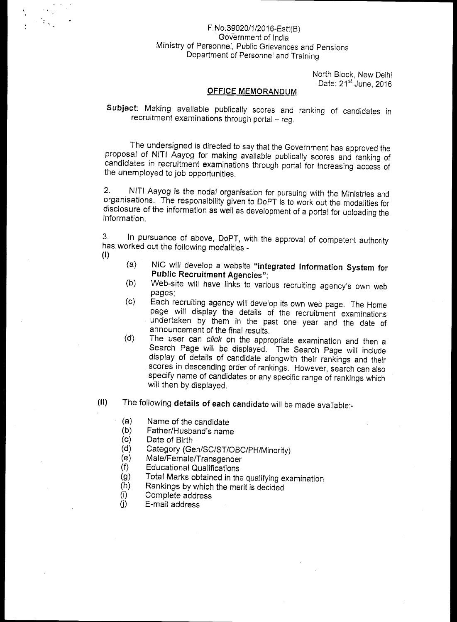#### F. No.39020/1/2016-Estt(B) Government of India Ministry of Personnel, Public Grievances and Pensions Department of Personnel and Training

North Block, New Delhi Date: 21<sup>st</sup> June, 2016

#### **OFFICE MEMORANDUM**

**Subject:** Making available publically scores and ranking of candidates in recruitment examinations through portal — reg.

The undersigned is directed to say that the Government has approved the proposal of NITI Aayog for making available publically scores and ranking of candidates in recruitment examinations through portal for increasing access of the unemployed to job opportunities.

2. NITI Aayog is the nodal organisation for pursuing with the Ministries and organisations. The responsibility given to DoPT is to work out the modalities for disclosure of the information as well as development of a portal for uploading the information.

3. In pursuance of above, DoPT, with the approval of competent authority has worked out the following modalities - **(I)** 

- (a) NIC will develop a website **"Integrated Information System for Public Recruitment Agencies";**
- (b) Web-site will have links to various recruiting agency's own web pages;
- (c) Each recruiting agency will develop its own web page. The Home page will display the details of the recruitment examinations undertaken by them in the past one year and the date of announcement of the final results.
- (d) The user can *click* on the appropriate examination and then a Search Page will be displayed. The Search Page will include display of details of candidate alongwith their rankings and their scores in descending order of rankings. However, search can also specify name of candidates or any specific range of rankings which will then by displayed.
- **(II)** The following **details of each candidate** will be made available:-
	- (a) Name of the candidate
	- (b) Father/Husband's name<br>(c) Date of Birth
	- Date of Birth
	- (d) Category (Gen/SC/ST/OBC/PH/Minority)
	- Male/Female/Transgender
	- (f) Educational Qualifications
	- (g) Total Marks obtained in the qualifying examination  $(h)$  Rankings by which the merit is decided
	- (h) Rankings by which the merit is decided<br>(i) Complete address
	- Complete address
	- (j) E-mail address